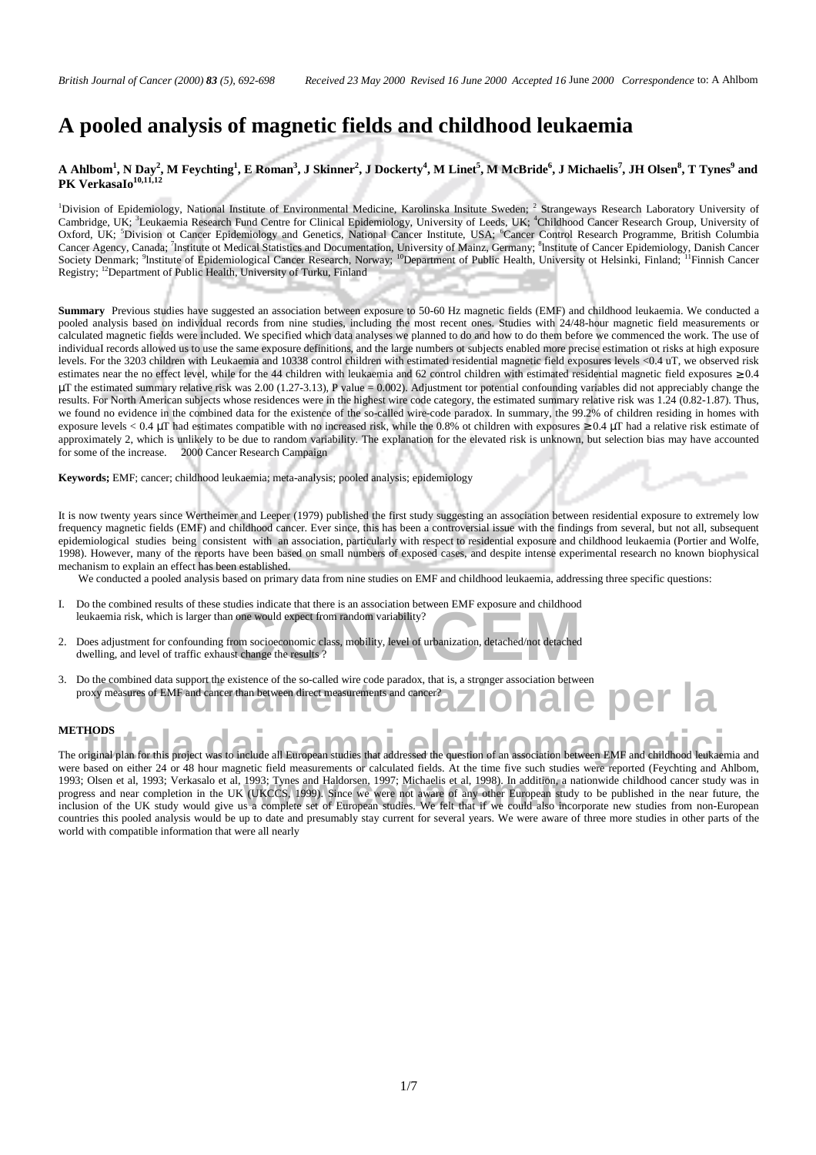## **A pooled analysis of magnetic fields and childhood leukaemia**

## A Ahlbom<sup>1</sup>, N Day<sup>2</sup>, M Feychting<sup>1</sup>, E Roman<sup>3</sup>, J Skinner<sup>2</sup>, J Dockerty<sup>4</sup>, M Linet<sup>5</sup>, M McBride<sup>6</sup>, J Michaelis<sup>7</sup>, JH Olsen<sup>8</sup>, T Tynes<sup>9</sup> and PK VerkasaIo<sup>10,11,12</sup>

<sup>1</sup>Division of Epidemiology, National Institute of Environmental Medicine, Karolinska Insitute Sweden;<sup>2</sup> Strangeways Research Laboratory University of Cambridge, UK; <sup>3</sup>Leukaemia Research Fund Centre for Clinical Epidemiology, University of Leeds, UK; <sup>4</sup>Childhood Cancer Research Group, University of Oxford, UK; <sup>5</sup>Division ot Cancer Epidemiology and Genetics, National Cancer Institute, USA; <sup>6</sup>Cancer Control Research Programme, British Columbia Cancer Agency, Canada; <sup>7</sup>Institute ot Medical Statistics and Documentation, University of Mainz, Germany; <sup>8</sup>Institute of Cancer Epidemiology, Danish Cancer Society Denmark; <sup>9</sup>Institute of Epidemiological Cancer Research, Norway; <sup>10</sup>Department of Public Health, University ot Helsinki, Finland; <sup>11</sup>Finnish Cancer Registry; 12Department of Public Health, University of Turku, Finland

**Summary** Previous studies have suggested an association between exposure to 50-60 Hz magnetic fields (EMF) and childhood leukaemia. We conducted a pooled analysis based on individual records from nine studies, including the most recent ones. Studies with 24/48-hour magnetic field measurements or calculated magnetic fields were included. We specified which data analyses we planned to do and how to do them before we commenced the work. The use of individuaI records allowed us to use the same exposure definitions, and the large numbers ot subjects enabled more precise estimation ot risks at high exposure levels. For the 3203 children with Leukaemia and 10338 control children with estimated residential magnetic field exposures levels <0.4 uT, we observed risk estimates near the no effect level, while for the 44 children with leukaemia and 62 control children with estimated residential magnetic field exposures  $\geq 0.4$  $\mu$ T the estimated summary relative risk was 2.00 (1.27-3.13), P value = 0.002). Adjustment tor potential confounding variables did not appreciably change the results. For North American subjects whose residences were in the highest wire code category, the estimated summary relative risk was 1.24 (0.82-1.87). Thus, we found no evidence in the combined data for the existence of the so-called wire-code paradox. In summary, the 99.2% of children residing in homes with exposure levels <  $0.4 \mu$ T had estimates compatible with no increased risk, while the 0.8% ot children with exposures  $\ge 0.4 \mu$ T had a relative risk estimate of approximately 2, which is unlikely to be due to random variability. The explanation for the elevated risk is unknown, but selection bias may have accounted for some of the increase.  $©$  2000 Cancer Research Campaign

**Keywords;** EMF; cancer; childhood leukaemia; meta-analysis; pooled analysis; epidemiology

It is now twenty years since Wertheimer and Leeper (1979) published the first study suggesting an association between residential exposure to extremely low frequency magnetic fields (EMF) and childhood cancer. Ever since, this has been a controversial issue with the findings from several, but not all, subsequent epidemiological studies being consistent with an association, particularly with respect to residential exposure and childhood leukaemia (Portier and Wolfe, 1998). However, many of the reports have been based on small numbers of exposed cases, and despite intense experimental research no known biophysical mechanism to explain an effect has been established.

We conducted a pooled analysis based on primary data from nine studies on EMF and childhood leukaemia, addressing three specific questions:

- I. Do the combined results of these studies indicate that there is an association between EMF exposure and childhood leukaemia risk, which is larger than one would expect from random variability?
- In one would expect from random variability?<br>In one would expect from random variability?<br>**CONACE SEXES FOR A CONSECUTE 2006 PERCEVALUATE:**<br>Intervalse the results? 2. Does adjustment for confounding from socioeconomic class, mobility, level of urbanization, detached/not detached dwelling, and level of traffic exhaust change the results ?
- Do the combined data support the existence of the so-called wire code paradox, that is, a stronger association between proxy measures of EMF and cancer than between direct measurements and cancer? 3. Do the combined data support the existence of the so-called wire code paradox, that is, a stronger association between

## **METHODS**

**turelarists of the original plan for this project was to include all European studies that addressed the question of an association between EMF and childhood leukaemia and childhood leukaemia and** 1993; Olsen et al, 1993; Verkasalo et al, 1993; Tynes and Haldorsen, 1997; Michaelis et al, 1998). In addition, a nationwide childhood cancer study was in<br>progress and near completion in the UK (UKCCS, 1999), Since we were were based on either 24 or 48 hour magnetic field measurements or calculated fields. At the time five such studies were reported (Feychting and Ahlbom, progress and near completion in the UK (UKCCS, 1999). Since we were not aware of any other European study to be published in the near future, the inclusion of the UK study would give us a complete set of European studies. We felt that if we could also incorporate new studies from non-European countries this pooled analysis would be up to date and presumably stay current for several years. We were aware of three more studies in other parts of the world with compatible information that were all nearly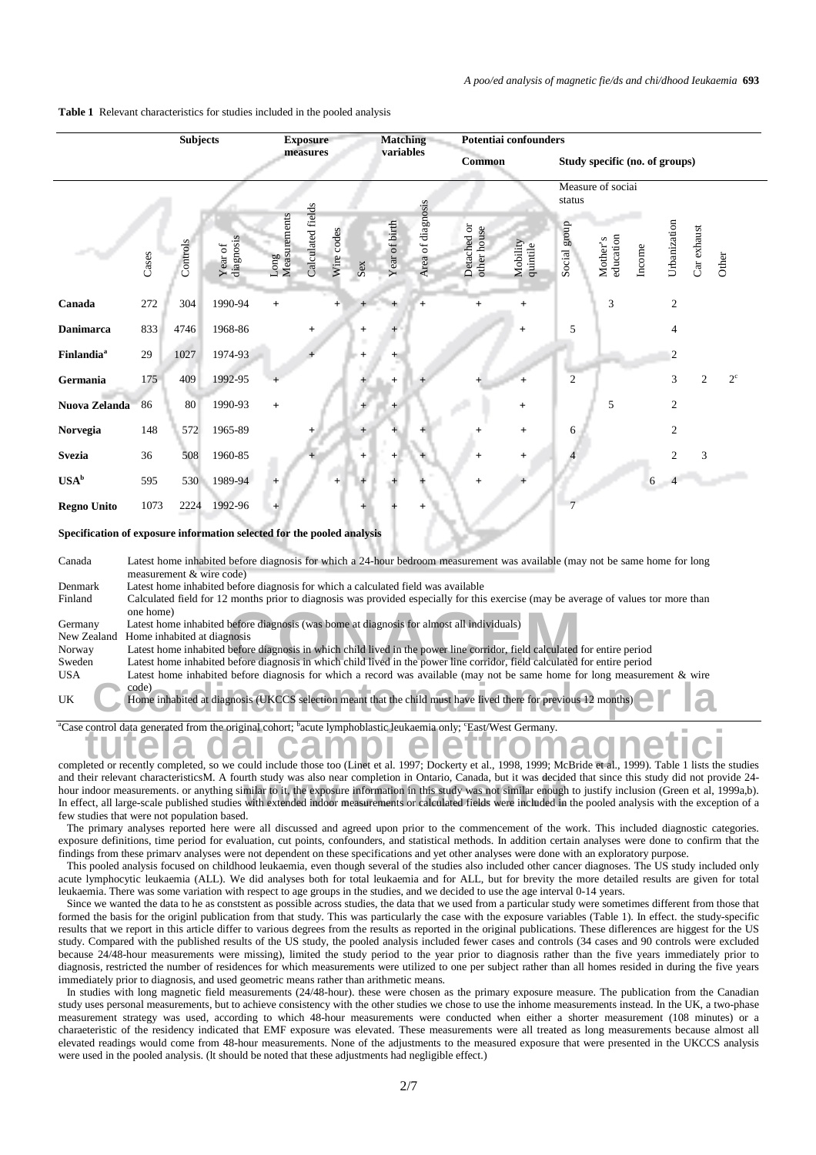**Table 1** Relevant characteristics for studies included in the pooled analysis

|                               | <b>Subjects</b> |          | <b>Exposure</b><br>measures |                      | <b>Matching</b><br>Potentiai confounders<br>variables<br>Common |        |               | Study specific (no. of groups) |                            |                      |                            |                                            |        |                |                |             |
|-------------------------------|-----------------|----------|-----------------------------|----------------------|-----------------------------------------------------------------|--------|---------------|--------------------------------|----------------------------|----------------------|----------------------------|--------------------------------------------|--------|----------------|----------------|-------------|
|                               | Cases           | Controls | Year of<br>diagnosis        | Measurements<br>Long | Calculated fields<br>Wire codes                                 | Sex    | Year of birth | Area of diagnosis              | Detached or<br>other house | Mobility<br>quintile | status<br>dno.fa<br>Social | Measure of sociai<br>education<br>Mother's | Income | Urbanization   | Car exhaust    | Other       |
| Canada                        | 272             | 304      | 1990-94                     | $\ddot{}$            | $+$                                                             |        |               | $+$                            |                            | $^+$                 |                            | 3                                          |        | $\overline{c}$ |                |             |
| <b>Danimarca</b>              | 833             | 4746     | 1968-86                     |                      |                                                                 | $\,^+$ |               |                                |                            | $^{+}$               | 5                          |                                            |        | 4              |                |             |
| <b>Finlandia</b> <sup>a</sup> | 29              | 1027     | 1974-93                     |                      |                                                                 |        |               |                                |                            |                      |                            |                                            |        | $\overline{2}$ |                |             |
| Germania                      | 175             | 409      | 1992-95                     |                      |                                                                 |        |               |                                |                            | $\pm$                | $\mathfrak{2}$             |                                            |        | 3              | $\overline{2}$ | $2^{\circ}$ |
| Nuova Zelanda                 | 86              | 80       | 1990-93                     | $+$                  |                                                                 |        |               |                                |                            | $\ddot{}$            |                            | 5                                          |        | $\overline{2}$ |                |             |
| Norvegia                      | 148             | 572      | 1965-89                     |                      |                                                                 | $\pm$  |               |                                |                            | $\qquad \qquad +$    | 6                          |                                            |        | $\overline{c}$ |                |             |
| <b>Svezia</b>                 | 36              | 508      | 1960-85                     |                      |                                                                 |        |               |                                | $^{+}$                     | $\overline{+}$       |                            |                                            |        | $\overline{c}$ | 3              |             |
| $\mathbf{USA}^{\mathbf{b}}$   | 595             | 530      | 1989-94                     |                      |                                                                 |        |               |                                | $\ddot{}$                  |                      |                            |                                            | 6      | $-4$           |                |             |
| <b>Regno Unito</b>            | 1073            | 2224     | 1992-96                     |                      |                                                                 |        |               |                                |                            |                      |                            |                                            |        |                |                |             |

**Specification of exposure information selected for the pooled analysis**

| Canada      | Latest home inhabited before diagnosis for which a 24-hour bedroom measurement was available (may not be same home for long         |
|-------------|-------------------------------------------------------------------------------------------------------------------------------------|
|             | measurement & wire code)                                                                                                            |
| Denmark     | Latest home inhabited before diagnosis for which a calculated field was available                                                   |
| Finland     | Calculated field for 12 months prior to diagnosis was provided especially for this exercise (may be average of values tor more than |
|             | one home)                                                                                                                           |
| Germany     | Latest home inhabited before diagnosis (was bome at diagnosis for almost all individuals)                                           |
| New Zealand | Home inhabited at diagnosis                                                                                                         |
| Norway      | Latest home inhabited before diagnosis in which child lived in the power line corridor, field calculated for entire period          |
| Sweden      | Latest home inhabited before diagnosis in which child lived in the power line corridor, field calculated for entire period          |
| <b>USA</b>  | Latest home inhabited before diagnosis for which a record was available (may not be same home for long measurement & wire           |
| UK          | code)<br>Home inhabited at diagnosis (UKCCS selection meant that the child must have lived there for previous $12$ months)          |
|             |                                                                                                                                     |

<sup>a</sup>Case control data generated from the original cohort; <sup>b</sup>acute lymphoblastic leukaemia only; <sup>c</sup>East/West Germany.

tutela data definite data denerated from the original conort; acute lymphobiastic leukaemia only; East west Germany.<br>
completed or recently completed, so we could include those too (Linet et al. 1997; Dockerty et al., 1998 and their relevant characteristicsM. A fourth study was also near completion in Ontario, Canada, but it was decided that since this study did not provide 24-<br>hour indoor measurements, or anything similar to it, the exposur and their relevant characteristicsM. A fourth study was also near completion in Ontario, Canada, but it was decided that since this study did not provide 24 hour indoor measurements, or anything similar to it, the exposure information in this study was not similar enough to justify inclusion (Green et al, 1999a,b). few studies that were not population based.

 The primary analyses reported here were all discussed and agreed upon prior to the commencement of the work. This included diagnostic categories. exposure definitions, time period for evaluation, cut points, confounders, and statistical methods. In addition certain analyses were done to confirm that the findings from these primarv analyses were not dependent on these specifications and yet other analyses were done with an exploratory purpose.

 This pooled analysis focused on childhood leukaemia, even though several of the studies also included other cancer diagnoses. The US study included only acute lymphocytic leukaemia (ALL). We did analyses both for total leukaemia and for ALL, but for brevity the more detailed results are given for total leukaemia. There was some variation with respect to age groups in the studies, and we decided to use the age interval 0-14 years.

 Since we wanted the data to he as conststent as possible across studies, the data that we used from a particular study were sometimes different from those that formed the basis for the originl publication from that study. This was particularly the case with the exposure variables (Table 1). In effect. the study-specific results that we report in this article differ to various degrees from the results as reported in the original publications. These diflerences are higgest for the US study. Compared with the published results of the US study, the pooled analysis included fewer cases and controls (34 cases and 90 controls were excluded because 24/48-hour measurements were missing), limited the study period to the year prior to diagnosis rather than the five years immediately prior to diagnosis, restricted the number of residences for which measurements were utilized to one per subject rather than all homes resided in during the five years immediately prior to diagnosis, and used geometric means rather than arithmetic means.

 In studies with long magnetic field measurements (24/48-hour). these were chosen as the primary exposure measure. The publication from the Canadian study uses personal measurements, but to achieve consistency with the other studies we chose to use the inhome measurements instead. In the UK, a two-phase measurement strategy was used, according to which 48-hour measurements were conducted when either a shorter measurement (108 minutes) or a charaeteristic of the residency indicated that EMF exposure was elevated. These measurements were all treated as long measurements because almost all elevated readings would come from 48-hour measurements. None of the adjustments to the measured exposure that were presented in the UKCCS analysis were used in the pooled analysis. (lt should be noted that these adjustments had negligible effect.)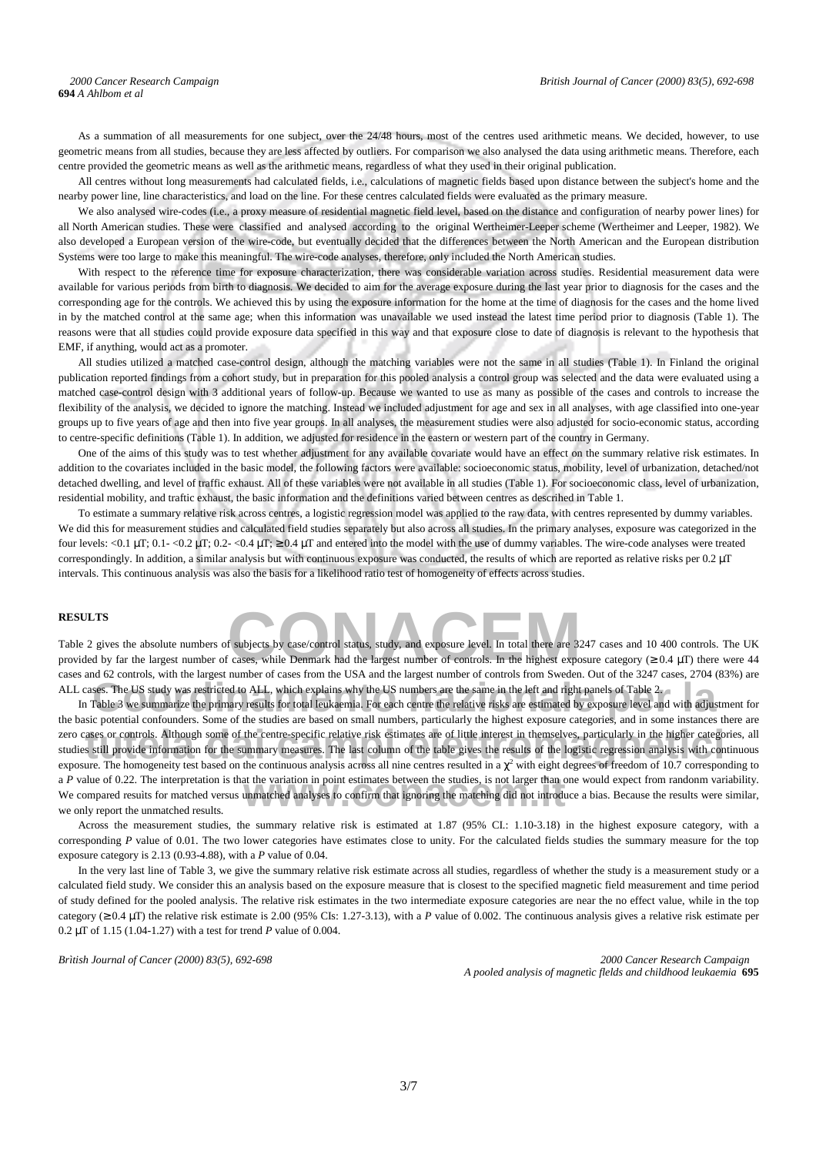As a summation of all measurements for one subject, over the 24/48 hours, most of the centres used arithmetic means. We decided, however, to use geometric means from all studies, because they are less affected by outliers. For comparison we also analysed the data using arithmetic means. Therefore, each centre provided the geometric means as well as the arithmetic means, regardless of what they used in their original publication.

All centres without long measurements had calculated fields, i.e., calculations of magnetic fields based upon distance between the subject's home and the nearby power line, line characteristics, and load on the line. For these centres calculated fields were evaluated as the primary measure.

We also analysed wire-codes (i.e., a proxy measure of residential magnetic field level, based on the distance and configuration of nearby power lines) for all North American studies. These were classified and analysed according to the original Wertheimer-Leeper scheme (Wertheimer and Leeper, 1982). We also developed a European version of the wire-code, but eventually decided that the differences between the North American and the European distribution Systems were too large to make this meaningful. The wire-code analyses, therefore, only included the North American studies.

With respect to the reference time for exposure characterization, there was considerable variation across studies. Residential measurement data were available for various periods from birth to diagnosis. We decided to aim for the average exposure during the last year prior to diagnosis for the cases and the corresponding age for the controls. We achieved this by using the exposure information for the home at the time of diagnosis for the cases and the home lived in by the matched control at the same age; when this information was unavailable we used instead the latest time period prior to diagnosis (Table 1). The reasons were that all studies could provide exposure data specified in this way and that exposure close to date of diagnosis is relevant to the hypothesis that EMF, if anything, would act as a promoter.

All studies utilized a matched case-control design, although the matching variables were not the same in all studies (Table 1). In Finland the original publication reported findings from a cohort study, but in preparation for this pooled analysis a control group was selected and the data were evaluated using a matched case-control design with 3 additional years of follow-up. Because we wanted to use as many as possible of the cases and controls to increase the flexibility of the analysis, we decided to ignore the matching. Instead we included adjustment for age and sex in all analyses, with age classified into one-year groups up to five years of age and then into five year groups. In all analyses, the measurement studies were also adjusted for socio-economic status, according to centre-specific definitions (Table 1). In addition, we adjusted for residence in the eastern or western part of the country in Germany.

One of the aims of this study was to test whether adjustment for any available covariate would have an effect on the summary relative risk estimates. In addition to the covariates included in the basic model, the following factors were available: socioeconomic status, mobility, level of urbanization, detached/not detached dwelling, and level of traffic exhaust. All of these variables were not available in all studies (Table 1). For socioeconomic class, level of urbanization, residential mobility, and traftic exhaust, the basic information and the definitions varied between centres as descrihed in Table 1.

To estimate a summary relative risk across centres, a logistic regression model was applied to the raw data, with centres represented by dummy variables. We did this for measurement studies and calculated field studies separately but also across all studies. In the primary analyses, exposure was categorized in the four levels: <0.1  $\mu$ T; 0.1- <0.2  $\mu$ T; 0.2- <0.4  $\mu$ T; ≥ 0.4  $\mu$ T and entered into the model with the use of dummy variables. The wire-code analyses were treated correspondingly. In addition, a similar analysis but with continuous exposure was conducted, the results of which are reported as relative risks per  $0.2 \mu T$ intervals. This continuous analysis was also the basis for a likelihood ratio test of homogeneity of effects across studies.

## **RESULTS**

**CONACE TRESULTS**<br>
Table 2 gives the absolute numbers of subjects by case/control status, study, and exposure level. In total there are 3247 cases and 10 400 controls. The UK<br>
provided by far the largest number of cases, Table 2 gives the absolute numbers of subjects by case/control status, study, and exposure level. In total there are 3247 cases and 10 400 controls. The UK cases and 62 controls, with the largest number of cases from the USA and the largest number of controls from Sweden. Out of the 3247 cases, 2704 (83%) are ALL cases. The US study was restricted to ALL, which explains why the US numbers are the same in the left and right panels of Table 2.

cases. The US study was restricted to ALL, which explains why the US numbers are the same in the left and right panels of Table 2.<br>In Table 3 we summarize the primary results for total leukaemia. For each centre the relati zero cases or controls. Although some of the centre-specific relative risk estimates are of little interest in themselves, particularly in the higher categories, all studies still provide information for the summary measu at the variation in point estimates between the studies, is not larger than commatched analyses to confirm that ignoring the matching did not introduced analyses the basic potential confounders. Some of the studies are based on small numbers, particularly the highest exposure categories, and in some instances there are studies still provide information for the summary measures. The last column of the table gives the results of the logistic regression analysis with continuous exposure. The homogeneity test based on the continuous analysis across all nine centres resulted in a  $\chi^2$  with eight degrees of freedom of 10.7 corresponding to a *P* value of 0.22. The interpretation is that the variation in point estimates between the studies, is not larger than one would expect from randonm variability. We compared resuìts for matched versus unmatched analyses to confirm that ignoring the matching did not introduce a bias. Because the results were similar, we only report the unmatched results.

Across the measurement studies, the summary relative risk is estimated at 1.87 (95% CI.: 1.10-3.18) in the highest exposure category, with a corresponding *P* value of 0.01. The two lower categories have estimates close to unity. For the calculated fields studies the summary measure for the top exposure category is 2.13 (0.93-4.88), with a *P* value of 0.04.

In the very last line of Table 3, we give the summary relative risk estimate across all studies, regardless of whether the study is a measurement study or a calculated field study. We consider this an analysis based on the exposure measure that is closest to the specified magnetic field measurement and time period of study defined for the pooled analysis. The relative risk estimates in the two intermediate exposure categories are near the no effect value, while in the top category ( $\geq 0.4 \mu T$ ) the relative risk estimate is 2.00 (95% CIs: 1.27-3.13), with a *P* value of 0.002. The continuous analysis gives a relative risk estimate per 0.2 µT of 1.15 (1.04-1.27) with a test for trend *P* value of 0.004.

*Brìtish Journal of Cancer (2000) 83(5), 692-698 2000 Cancer Research Campaign A pooled analysis of magnetìc flelds and childhood leukaemia* **695**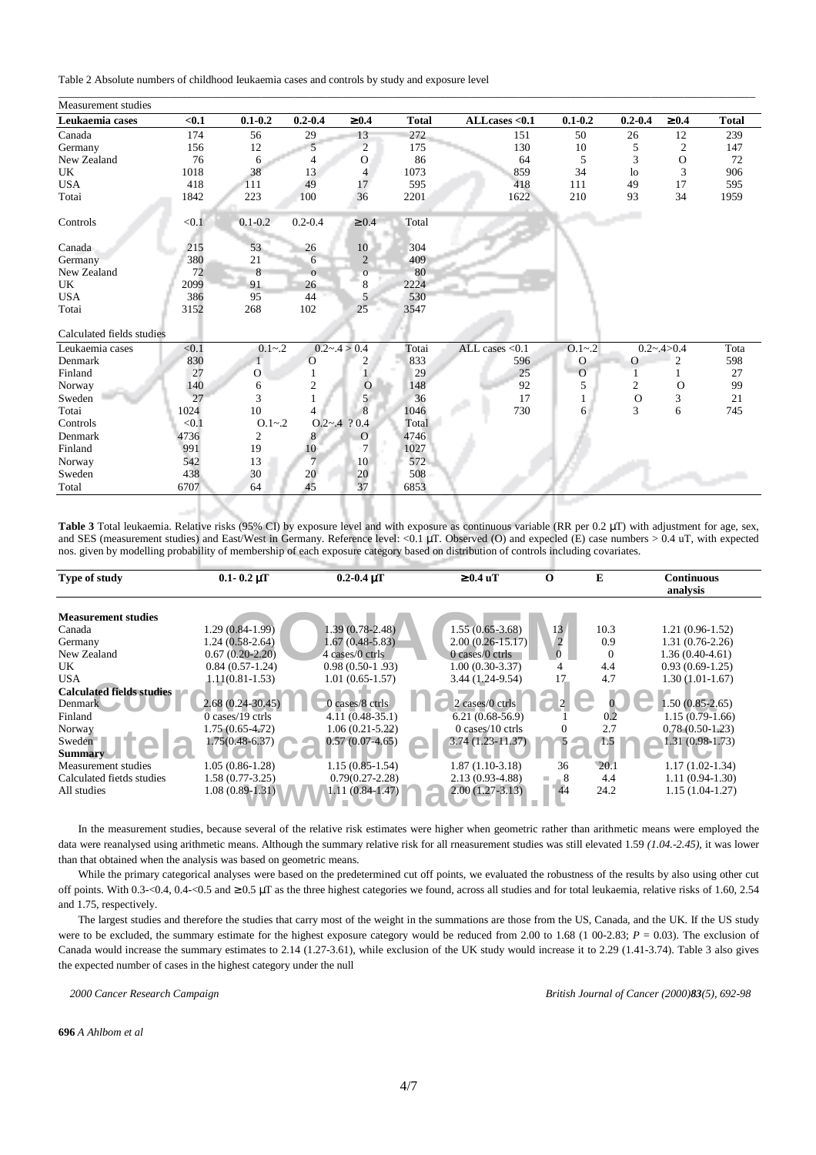Table 2 Absolute numbers of childhood Ieukaemia cases and controls by study and exposure level

| Measurement studies       |       |                |              |                  |              |                 |              |                |                 |              |
|---------------------------|-------|----------------|--------------|------------------|--------------|-----------------|--------------|----------------|-----------------|--------------|
| Leukaemia cases           | $0.1$ | $0.1 - 0.2$    | $0.2 - 0.4$  | $\geq 0.4$       | <b>Total</b> | ALL cases < 0.1 | $0.1 - 0.2$  | $0.2 - 0.4$    | $\geq 0.4$      | <b>Total</b> |
| Canada                    | 174   | 56             | 29           | 13               | 272          | 151             | 50           | 26             | 12              | 239          |
| Germany                   | 156   | 12             | 5            | $\overline{2}$   | 175          | 130             | 10           | 5              | $\mathfrak{2}$  | 147          |
| New Zealand               | 76    | 6              | 4            | O                | 86           | 64              | 5            | 3              | $\Omega$        | 72           |
| <b>UK</b>                 | 1018  | 38             | 13           |                  | 1073         | 859             | 34           | 1 <sub>o</sub> | 3               | 906          |
| <b>USA</b>                | 418   | 111            | 49           | 17               | 595          | 418             | 111          | 49             | 17              | 595          |
| Totai                     | 1842  | 223            | 100          | 36               | 2201         | 1622            | 210          | 93             | 34              | 1959         |
| Controls                  | < 0.1 | $0.1 - 0.2$    | $0.2 - 0.4$  | $\geq 0.4$       | Total        |                 |              |                |                 |              |
| Canada                    | 215   | 53             | 26           | 10               | 304          |                 |              |                |                 |              |
| Germany                   | 380   | 21             | 6            | $\mathbf{2}$     | 409          |                 |              |                |                 |              |
| New Zealand               | 72    | 8              | $\mathbf{o}$ | $\overline{0}$   | 80           |                 |              |                |                 |              |
| <b>UK</b>                 | 2099  | 91             | 26           | 8                | 2224         |                 |              |                |                 |              |
| <b>USA</b>                | 386   | 95             | 44           | 5                | 530          |                 |              |                |                 |              |
| Totai                     | 3152  | 268            | 102          | 25               | 3547         |                 |              |                |                 |              |
| Calculated fields studies |       |                |              |                  |              |                 |              |                |                 |              |
| Leukaemia cases           | < 0.1 | $0.1 - 2$      |              | $0.2 - .4 > 0.4$ | Totai        | ALL cases < 0.1 | $0.1 - 2$    |                | $0.2 - 4 > 0.4$ | Tota         |
| Denmark                   | 830   |                | $\Omega$     |                  | 833          | 596             | $\mathbf{O}$ | $\mathbf{O}$   | 2               | 598          |
| Finland                   | 27    | 0              |              |                  | 29           | 25              | $\sigma$     |                |                 | 27           |
| Norway                    | 140   | 6              |              | $\overline{O}$   | 148          | 92              | 5            | $\overline{2}$ | $\Omega$        | 99           |
| Sweden                    | 27    | 3              |              | $\frac{5}{8}$    | 36           | 17              |              | $\circ$        | 3               | 21           |
| Totai                     | 1024  | 10             |              |                  | 1046         | 730             | 6            | 3              | 6               | 745          |
| Controls                  | < 0.1 | $0.1 - 2$      |              | $0.2 - 4$ ? 0.4  | Total        |                 |              |                |                 |              |
| Denmark                   | 4736  | $\mathfrak{2}$ | 8            | $\mathbf{O}$     | 4746         |                 |              |                |                 |              |
| Finland                   | 991   | 19             | 10           | $\overline{7}$   | 1027         |                 |              |                |                 |              |
| Norway                    | 542   | 13             |              | 10               | 572          |                 |              |                |                 |              |
| Sweden                    | 438   | 30             | 20           | $\frac{20}{37}$  | 508          |                 |              |                |                 |              |
| Total                     | 6707  | 64             | 45           |                  | 6853         |                 |              |                |                 |              |

\_\_\_\_\_\_\_\_\_\_\_\_\_\_\_\_\_\_\_\_\_\_\_\_\_\_\_\_\_\_\_\_\_\_\_\_\_\_\_\_\_\_\_\_\_\_\_\_\_\_\_\_\_\_\_\_\_\_\_\_\_\_\_\_\_\_\_\_\_\_\_\_\_\_\_\_\_\_\_\_\_\_\_\_\_\_\_\_\_\_\_\_\_\_\_\_\_\_\_\_\_\_\_\_\_\_\_\_\_\_\_\_\_\_\_\_\_\_\_\_\_\_\_\_\_\_\_

Table 3 Total leukaemia. Relative risks (95% CI) by exposure level and with exposure as continuous variable (RR per 0.2 µT) with adjustment for age, sex, and SES (measurement studies) and East/West in Germany. Reference level: <0.1 µT. Observed (O) and expecled (E) case numbers > 0.4 uT, with expected nos. given by modelling probability of membership of each exposure category based on distribution of controls including covariates.

| Type of study                                                   | $0.1 - 0.2 \mu T$                                           | $0.2 - 0.4 \mu T$                                               | $\geq 0.4$ uT                                                       | $\bf{0}$                         | E                       | <b>Continuous</b><br>analysis                                 |
|-----------------------------------------------------------------|-------------------------------------------------------------|-----------------------------------------------------------------|---------------------------------------------------------------------|----------------------------------|-------------------------|---------------------------------------------------------------|
| <b>Measurement studies</b><br>Canada<br>Germany<br>New Zealand  | $1.29(0.84-1.99)$<br>$1.24(0.58-2.64)$<br>$0.67(0.20-2.20)$ | $1.39(0.78-2.48)$<br>1.67 (0.48-5.83)<br>4 cases/0 ctrls        | $1.55(0.65 - 3.68)$<br>$2.00(0.26 - 15.17)$<br>$0$ cases/ $0$ ctrls | 13<br>$\overline{2}$<br>$\Omega$ | 10.3<br>0.9<br>$\Omega$ | 1.21 (0.96-1.52)<br>1.31 (0.76-2.26)<br>$1.36(0.40-4.61)$     |
| UK<br><b>USA</b>                                                | $0.84(0.57-1.24)$<br>$1.11(0.81-1.53)$                      | $0.98(0.50-1.93)$<br>$1.01(0.65-1.57)$                          | $1.00(0.30-3.37)$<br>3.44 (1.24-9.54)                               | 4<br>17                          | 4.4<br>4.7              | $0.93(0.69-1.25)$<br>$1.30(1.01-1.67)$                        |
| <b>Calculated fields studies</b><br>Denmark<br>Finland          | $2.68(0.24 - 30.45)$<br>$\overline{0}$ cases/19 ctrls       | 0 cases/8 ctrls<br>$4.11(0.48-35.1)$                            | 2 cases/0 ctrls<br>$6.21(0.68-56.9)$                                |                                  | 0.2                     | $1.50(0.85-2.65)$<br>$1.15(0.79-1.66)$                        |
| Norway<br>Sweden<br><b>Summary</b>                              | $1.75(0.65 - 4.72)$<br>$1.75(0.48 - 6.37)$                  | $1.06(0.21 - 5.22)$<br>$0.57(0.07-4.65)$                        | $0 \text{ cases}/10 \text{ ctrls}$<br>$3.74(1.23 - 11.37)$          | $\Omega$                         | 2.7                     | $0.78(0.50-1.23)$<br>$1.31(0.98-1.73)$                        |
| Measurement studies<br>Calculated fietds studies<br>All studies | $1.05(0.86-1.28)$<br>$1.58(0.77-3.25)$<br>$1.08(0.89-1.31)$ | $1.15(0.85-1.54)$<br>$0.79(0.27 - 2.28)$<br>$1.11(0.84 - 1.47)$ | $1.87(1.10-3.18)$<br>$2.13(0.93 - 4.88)$<br>$2.00(1.27-3.13)$       | 36<br>- 8<br>٠<br>44             | 20.1<br>4.4<br>24.2     | $1.17(1.02 - 1.34)$<br>$1.11(0.94-1.30)$<br>$1.15(1.04-1.27)$ |

In the measurement studies, because several of the relative risk estimates were higher when geometric rather than arithmetic means were employed the data were reanalysed using arithmetic means. Although the summary relative risk for all rneasurement studies was still elevated 1.59 *(1.04.-2.45),* it was lower than that obtained when the analysis was based on geometric means.

While the primary categorical analyses were based on the predetermined cut off points, we evaluated the robustness of the results by also using other cut off points. With 0.3-<0.4, 0.4-<0.5 and  $\geq$  0.5 µT as the three highest categories we found, across all studies and for total leukaemia, relative risks of 1.60, 2.54 and 1.75, respectively.

The largest studies and therefore the studies that carry most of the weight in the summations are those from the US, Canada, and the UK. If the US study were to be excluded, the summary estimate for the highest exposure category would be reduced from 2.00 to 1.68 (1 00-2.83; *P* = 0.03). The exclusion of Canada would increase the summary estimates to 2.14 (1.27-3.61), while exclusion of the UK study would increase it to 2.29 (1.41-3.74). Table 3 also gives the expected number of cases in the highest category under the null

 *2000 Cancer Research Campaign British Journal of Cancer (2000)83(5), 692-98*

**696** *A Ahlbom et al*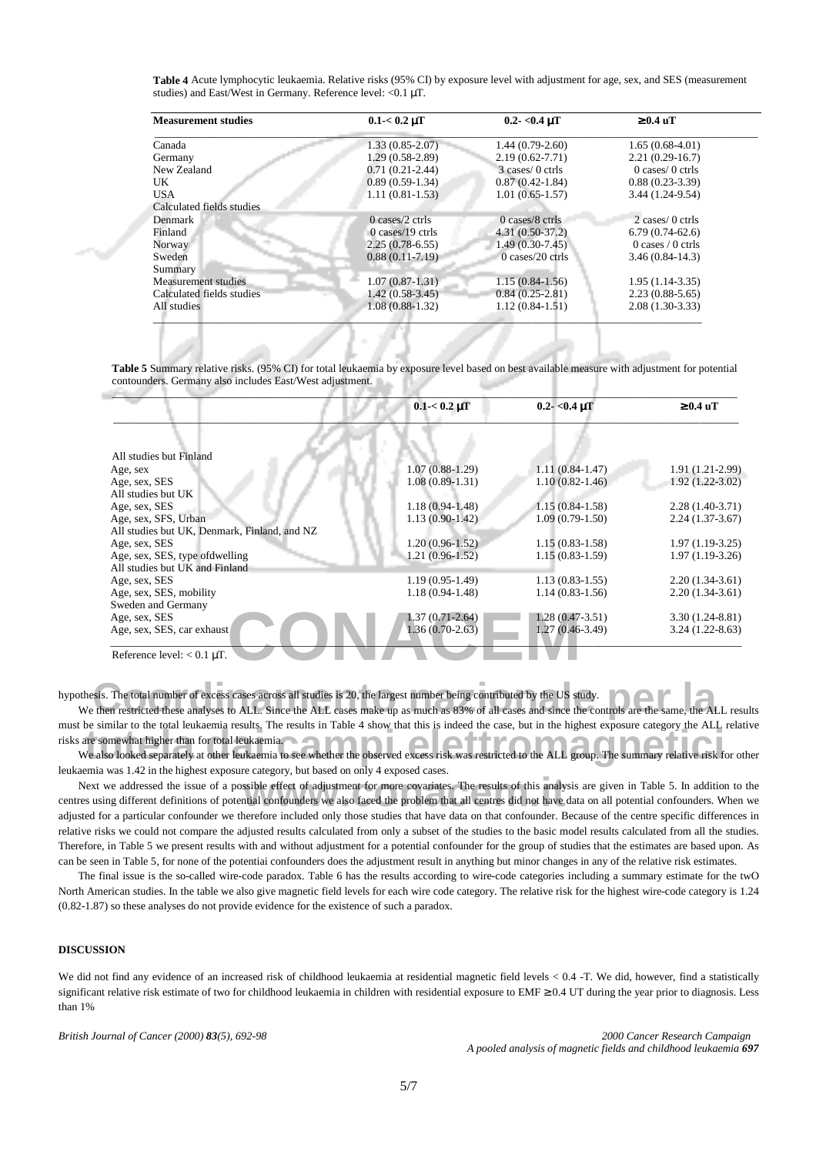**Table 4** Acute lymphocytic leukaemia. Relative risks (95% CI) by exposure level with adjustment for age, sex, and SES (measurement studies) and East/West in Germany. Reference level: <0.1  $\mu$ T.

|            | <b>Measurement studies</b> | $0.1 < 0.2 \mu T$          | $0.2 - 0.4 \mu T$                  | $\geq 0.4$ uT              |
|------------|----------------------------|----------------------------|------------------------------------|----------------------------|
|            | Canada                     | $1.33(0.85-2.07)$          | $1.44(0.79-2.60)$                  | $1.65(0.68-4.01)$          |
|            | Germany                    | 1.29 (0.58-2.89)           | $2.19(0.62 - 7.71)$                | $2.21(0.29-16.7)$          |
|            | New Zealand                | $0.71(0.21-2.44)$          | $3 \cases/0 \text{ctrls}$          | $0 \cases/0 \text{ ctrls}$ |
| UK         |                            | $0.89(0.59-1.34)$          | $0.87(0.42 - 1.84)$                | $0.88(0.23-3.39)$          |
| <b>USA</b> |                            | $1.11(0.81 - 1.53)$        | $1.01(0.65-1.57)$                  | 3.44 (1.24-9.54)           |
|            | Calculated fields studies  |                            |                                    |                            |
|            | Denmark                    | $0 \cases/2 \text{crls}$   | $0$ cases/ $8$ ctrls               | $2 \cases/0 \text{ctrls}$  |
|            | Finland                    | $\approx 0$ cases/19 ctrls | $4.31(0.50-37.2)$                  | $6.79(0.74-62.6)$          |
|            | Norway                     | $2.25(0.78-6.55)$          | $-1.49(0.30-7.45)$                 | $0$ cases $/ 0$ ctrls      |
| والتباري   | Sweden                     | $0.88(0.11-7.19)$          | $0 \text{ cases}/20 \text{ ctrls}$ | $3.46(0.84-14.3)$          |
|            | Summary                    |                            |                                    |                            |
|            | Measurement studies        | $1.07(0.87-1.31)$          | $1.15(0.84-1.56)$                  | $1.95(1.14-3.35)$          |
|            | Calculated fields studies  | $1.42(0.58-3.45)$          | $0.84(0.25-2.81)$                  | $2.23(0.88-5.65)$          |
|            | All studies                | $1.08(0.88-1.32)$          | $1.12(0.84-1.51)$                  | $2.08(1.30-3.33)$          |
|            |                            |                            |                                    |                            |

**Table 5** Summary relative risks. (95% CI) for total leukaemia by exposure level based on best available measure with adjustment for potential contounders. Germany also includes East/West adjustment.

|                                              | $0.1 - 0.2 \mu T$   | $0.2 - 0.4 \mu T$   | $\geq 0.4$ uT       |
|----------------------------------------------|---------------------|---------------------|---------------------|
|                                              |                     |                     |                     |
| All studies but Finland                      |                     |                     |                     |
| Age, sex                                     | $1.07(0.88-1.29)$   | $1.11(0.84-1.47)$   | 1.91 (1.21-2.99)    |
| Age, sex, SES                                | $1.08(0.89-1.31)$   | $1.10(0.82 - 1.46)$ | 1.92 (1.22-3.02)    |
| All studies but UK                           |                     |                     |                     |
| Age, sex, SES                                | $1.18(0.94-1.48)$   | $1.15(0.84-1.58)$   | $2.28(1.40-3.71)$   |
| Age, sex, SFS, Urban                         | $1.13(0.90-1.42)$   | $1.09(0.79-1.50)$   | $2.24(1.37-3.67)$   |
| All studies but UK, Denmark, Finland, and NZ |                     |                     |                     |
| Age, sex, SES                                | $1.20(0.96-1.52)$   | $1.15(0.83 - 1.58)$ | $1.97(1.19-3.25)$   |
| Age, sex, SES, type ofdwelling               | $1.21(0.96 - 1.52)$ | $1.15(0.83-1.59)$   | $1.97(1.19-3.26)$   |
| All studies but UK and Finland               |                     |                     |                     |
| Age, sex, SES                                | $1.19(0.95-1.49)$   | $1.13(0.83-1.55)$   | $2.20(1.34-3.61)$   |
| Age, sex, SES, mobility                      | $1.18(0.94-1.48)$   | $1.14(0.83-1.56)$   | $2.20(1.34-3.61)$   |
| Sweden and Germany                           |                     |                     |                     |
| Age, sex, SES                                | $1.37(0.71 - 2.64)$ | $1.28(0.47-3.51)$   | $3.30(1.24 - 8.81)$ |
| Age, sex, SES, car exhaust                   | $1.36(0.70-2.63)$   | $1.27(0.46-3.49)$   | $3.24(1.22 - 8.63)$ |

hypothesis. The total number of excess cases across all studies is 20, the largest number being contributed by the US study.

extricts. The total number of excess cases across all studies is 20, the largest number being contributed by the US study.<br>We then restricted these analyses to ALL. Since the ALL cases make up as much as 83% of all cases a tute similar to the total dealers are solution. The results in Table 4 show that this is indeed the case, but in the ingnest exposure category the ALL relative also looked separately at other leukaemia. must be similar to the total leukaemia results. The results in Table 4 show that this is indeed the case, but in the highest exposure category the ALL relative risks are somewhat higher than for total leukaemia.

leukaemia was 1.42 in the highest exposure category, but based on only 4 exposed cases.

Next we addressed the issue of a possible effect of adjustment for more covariates. The results of this analysis are given in Table 5. In addition to the res using different definitions of potential confounders we also fac centres using different definitions of potential confounders we also faced the problem that all centres did not have data on all potential confounders. When we adjusted for a particular confounder we therefore included only those studies that have data on that confounder. Because of the centre specific differences in relative risks we could not compare the adjusted results calculated from only a subset of the studies to the basic model results calculated from all the studies. Therefore, in Table 5 we present results with and without adjustment for a potential confounder for the group of studies that the estimates are based upon. As can be seen in Table 5, for none of the potentiai confounders does the adjustment result in anything but minor changes in any of the relative risk estimates.

The final issue is the so-called wire-code paradox. Table 6 has the results according to wire-code categories including a summary estimate for the twO North American studies. In the table we also give magnetic field levels for each wire code category. The relative risk for the highest wire-code category is 1.24 (0.82-1.87) so these analyses do not provide evidence for the existence of such a paradox.

## **DISCUSSION**

We did not find any evidence of an increased risk of childhood leukaemia at residential magnetic field levels < 0.4 -T. We did, however, find a statistically significant relative risk estimate of two for childhood leukaemia in children with residential exposure to EMF  $\geq 0.4$  UT during the year prior to diagnosis. Less than 1%

*British Journal of Cancer (2000) 83(5), 692-98 2000 Cancer Research Campaign A pooled analysis of magnetic fields and childhood leukaemia 697*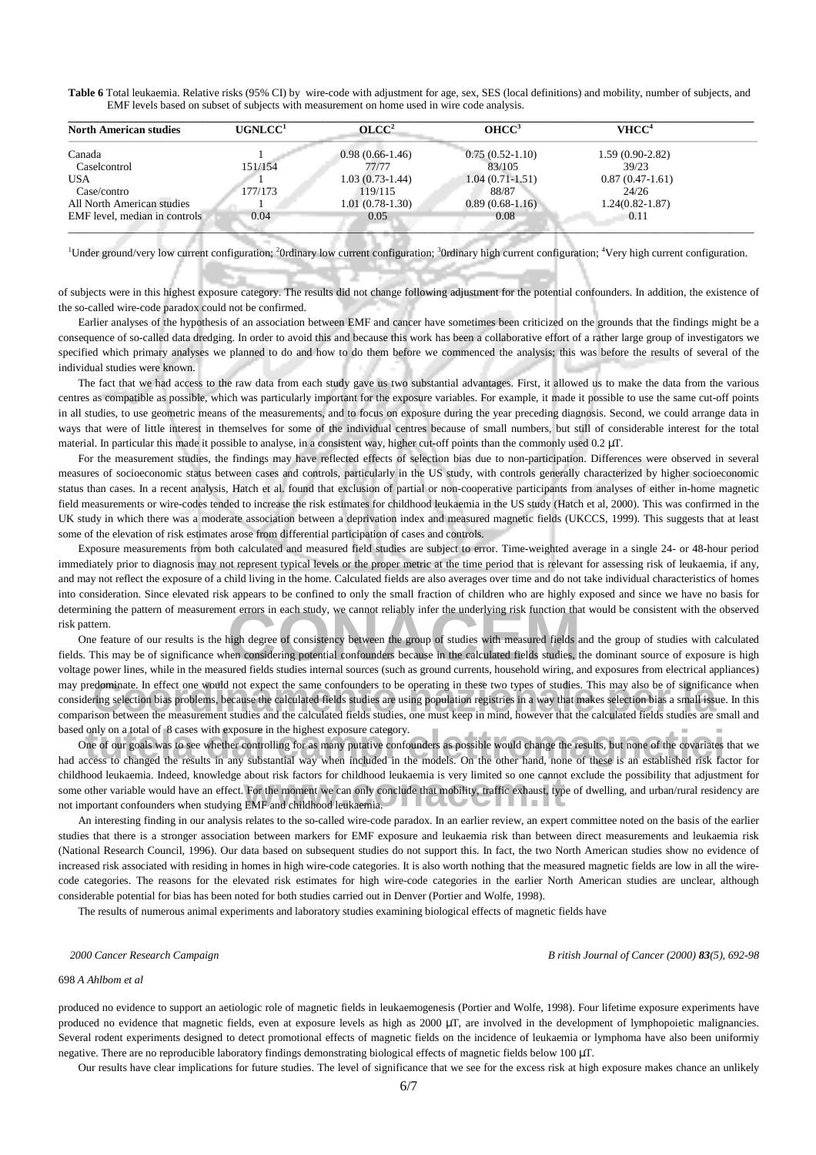**Table 6** Total leukaemia. Relative risks (95% CI) by wire-code with adjustment for age, sex, SES (local definitions) and mobility, number of subjects, and EMF levels based on subset of subjects with measurement on home used in wire code analysis.

| <b>North American studies</b> | UGNLCC <sup>1</sup> | OLCC <sup>2</sup> | OHCC <sup>3</sup> | VHCC <sup>4</sup>   |  |
|-------------------------------|---------------------|-------------------|-------------------|---------------------|--|
| Canada                        |                     | $0.98(0.66-1.46)$ | $0.75(0.52-1.10)$ | $1.59(0.90-2.82)$   |  |
| Caselcontrol                  | 151/154             | 77/77             | 83/105            | 39/23               |  |
| <b>USA</b>                    |                     | $1.03(0.73-1.44)$ | $1.04(0.71-1.51)$ | $0.87(0.47-1.61)$   |  |
| Case/contro                   | 177/173             | 119/115           | 88/87             | 24/26               |  |
| All North American studies    |                     | $1.01(0.78-1.30)$ | $0.89(0.68-1.16)$ | $1.24(0.82 - 1.87)$ |  |
| EMF level, median in controls | 0.04                | 0.05              | 0.08              | 0.11                |  |

<sup>1</sup>Under ground/very low current configuration; <sup>2</sup>0rdinary low current configuration; <sup>3</sup>0rdinary high current configuration; <sup>4</sup>Very high current configuration.

of subjects were in this highest exposure category. The results did not change following adjustment for the potential confounders. In addition, the existence of the so-called wire-code paradox could not be confirmed.

Earlier analyses of the hypothesis of an association between EMF and cancer have sometimes been criticized on the grounds that the findings might be a consequence of so-called data dredging. In order to avoid this and because this work has been a collaborative effort of a rather large group of investigators we specified which primary analyses we planned to do and how to do them before we commenced the analysis; this was before the results of several of the individual studies were known.

The fact that we had access to the raw data from each study gave us two substantial advantages. First, it allowed us to make the data from the various centres as compatible as possible, which was particularly important for the exposure variables. For example, it made it possible to use the same cut-off points in all studies, to use geometric means of the measurements, and to focus on exposure during the year preceding diagnosis. Second, we could arrange data in ways that were of little interest in themselves for some of the individual centres because of small numbers, but still of considerable interest for the total material. In particular this made it possible to analyse, in a consistent way, higher cut-off poìnts than the commonly used 0.2 µT.

For the measurement studies, the findings may have reflected effects of selection bias due to non-participation. Differences were observed in several measures of socioeconomic status between cases and controls, particularly in the US study, with controls generally characterized by higher socioeconomic status than cases. In a recent analysis, Hatch et al. found that exclusion of partial or non-cooperative participants from analyses of either in-home magnetic field measurements or wire-codes tended to increase the risk estimates for childhood leukaemia in the US study (Hatch et al, 2000). This was confirrned in the UK study in which there was a moderate association between a deprivation index and measured magnetic fields (UKCCS, 1999). This suggests that at least some of the elevation of risk estimates arose from differential participation of cases and controls.

Exposure measurements from both calculated and measured field studies are subject to error. Time-weighted average in a single 24- or 48-hour period immediately prior to diagnosis may not represent typical levels or the proper metric at the time period that is relevant for assessing risk of leukaemia, if any, and may not reflect the exposure of a child living in the home. Calculated fields are also averages over time and do not take individual characteristics of homes into consideration. Since elevated risk appears to be confined to only the small fraction of children who are highly exposed and since we have no basis for risk pattern.

determining the pattern of measurement errors in each study, we cannot reliably infer the underlying risk function that would be consistent with the observed risk pattern.<br>
This may be of significance when considering pote dominate. In effect one would not expect the same confounders to be operating in these two types of studies. This may also be of significating selection bias a small issuming selection bias a small issuming selection bias One feature of our results is the high degree of consistency between the group of studies with measured fields and the group of studies with calculated fields. This may be of significance when considering potential confounders because in the calculated fields studies, the dominant source of exposure is high voltage power lines, while in the measured fields studies internal sources (such as ground currents, household wiring, and exposures from electrical appliances) may predominate. In effect one would not expect the same confounders to be operating in these two types of studies. This may also be of significance when considering selection bias problems, because the calculated fields studies are using population registries in a way that makes selection bias a small issue. In this comparison between the measurement studies and the calculated fields studies, one must keep in mind, however that the calculated fields studies are small and based only on a total of  $\frac{8}{8}$  cases with exposure in the highest exposure category.

only on a total of 8 cases with exposure in the highest exposure category.<br>Ine of our goals was to see whether controlling for as many putative confounders as possible would change the results, but none of the covariates<br>c about risk factors for childhood leukaemia is very limited so one cannot<br>For the moment we can only conclude that mobility, traffic exhaust, typ<br>EMF and childhood leukaemia. One of our goals was to see whether controlling for as many putative confounders as possible would change the results, but none of the covariates that we had access to changed the results in any substantial way when included in the models. On the other hand, none of these is an established risk factor for childhood leukaemia. Indeed, knowledge about risk factors for childhood leukaemia is very limited so one cannot exclude the possibility that adjustment for some other variable would have an effect. For the moment we can only conclude that mobility, traffic exhaust, type of dwelling, and urban/rural residency are not important confounders when studying EMF and childhood leukaemia.

An interesting finding in our analysis relates to the so-called wire-code paradox. In an earlier review, an expert committee noted on the basis of the earlier studies that there is a stronger association between markers for EMF exposure and leukaemia risk than between direct measurements and leukaemia risk (National Research Council, 1996). Our data based on subsequent studies do not support this. In fact, the two North American studies show no evidence of increased risk associated with residing in homes in high wire-code categories. It is also worth nothing that the measured magnetic fields are low in all the wirecode categories. The reasons for the elevated risk estimates for high wire-code categories in the earlier North American studies are unclear, although considerable potential for bias has been noted for both studies carried out in Denver (Portier and Wolfe, 1998).

The results of numerous animal experiments and laboratory studies examining biological effects of magnetic fields have

 *2000 Cancer Research Campaign B ritish Journal of Cancer (2000) 83(5), 692-98*

### 698 *A Ahlbom et al*

produced no evidence to support an aetiologic role of magnetic fields in leukaemogenesis (Portier and Wolfe, 1998). Four lifetime exposure experiments have produced no evidence that magnetic fields, even at exposure levels as high as  $2000 \mu T$ , are involved in the development of lymphopoietic malignancies. Several rodent experiments designed to detect promotional effects of magnetic fields on the incidence of leukaemia or lymphoma have also been uniformiy negative. There are no reproducible laboratory findings demonstrating biological effects of magnetic fields below 100 µT.

Our results have clear implications for future studies. The level of significance that we see for the excess risk at high exposure makes chance an unlikely